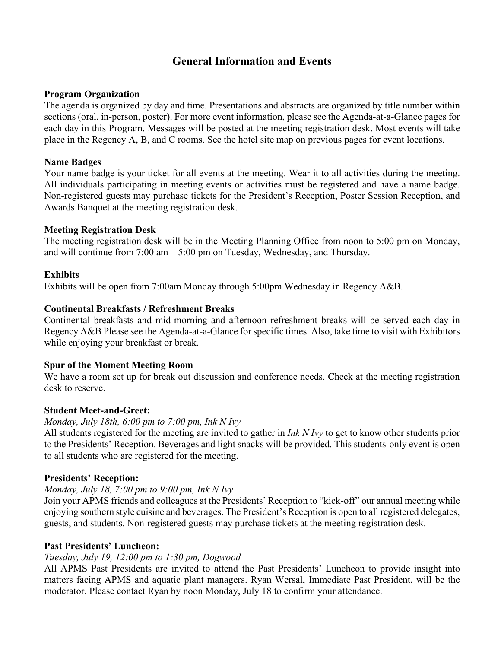# **General Information and Events**

# **Program Organization**

The agenda is organized by day and time. Presentations and abstracts are organized by title number within sections (oral, in-person, poster). For more event information, please see the Agenda-at-a-Glance pages for each day in this Program. Messages will be posted at the meeting registration desk. Most events will take place in the Regency A, B, and C rooms. See the hotel site map on previous pages for event locations.

# **Name Badges**

Your name badge is your ticket for all events at the meeting. Wear it to all activities during the meeting. All individuals participating in meeting events or activities must be registered and have a name badge. Non-registered guests may purchase tickets for the President's Reception, Poster Session Reception, and Awards Banquet at the meeting registration desk.

# **Meeting Registration Desk**

The meeting registration desk will be in the Meeting Planning Office from noon to 5:00 pm on Monday, and will continue from 7:00 am – 5:00 pm on Tuesday, Wednesday, and Thursday.

# **Exhibits**

Exhibits will be open from 7:00am Monday through 5:00pm Wednesday in Regency A&B.

# **Continental Breakfasts / Refreshment Breaks**

Continental breakfasts and mid-morning and afternoon refreshment breaks will be served each day in Regency A&B Please see the Agenda-at-a-Glance for specific times. Also, take time to visit with Exhibitors while enjoying your breakfast or break.

## **Spur of the Moment Meeting Room**

We have a room set up for break out discussion and conference needs. Check at the meeting registration desk to reserve.

# **Student Meet-and-Greet:**

## *Monday, July 18th, 6:00 pm to 7:00 pm, Ink N Ivy*

All students registered for the meeting are invited to gather in *Ink N Ivy* to get to know other students prior to the Presidents' Reception. Beverages and light snacks will be provided. This students-only event is open to all students who are registered for the meeting.

# **Presidents' Reception:**

## *Monday, July 18, 7:00 pm to 9:00 pm, Ink N Ivy*

Join your APMS friends and colleagues at the Presidents' Reception to "kick-off" our annual meeting while enjoying southern style cuisine and beverages. The President's Reception is open to all registered delegates, guests, and students. Non-registered guests may purchase tickets at the meeting registration desk.

# **Past Presidents' Luncheon:**

## *Tuesday, July 19, 12:00 pm to 1:30 pm, Dogwood*

All APMS Past Presidents are invited to attend the Past Presidents' Luncheon to provide insight into matters facing APMS and aquatic plant managers. Ryan Wersal, Immediate Past President, will be the moderator. Please contact Ryan by noon Monday, July 18 to confirm your attendance.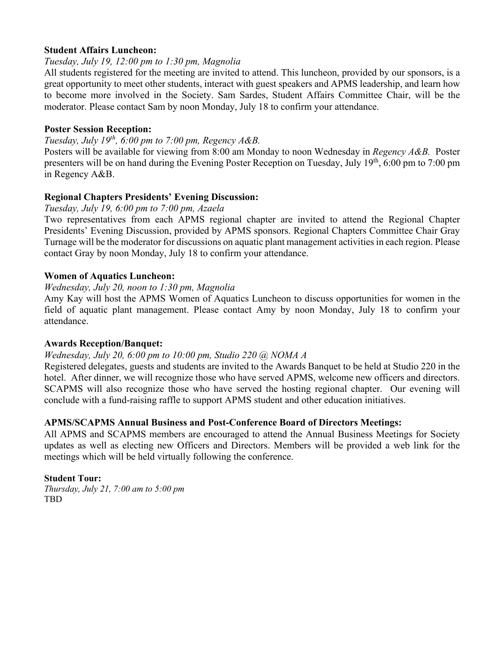# **Student Affairs Luncheon:**

# *Tuesday, July 19, 12:00 pm to 1:30 pm, Magnolia*

All students registered for the meeting are invited to attend. This luncheon, provided by our sponsors, is a great opportunity to meet other students, interact with guest speakers and APMS leadership, and learn how to become more involved in the Society. Sam Sardes, Student Affairs Committee Chair, will be the moderator. Please contact Sam by noon Monday, July 18 to confirm your attendance.

# **Poster Session Reception:**

## *Tuesday, July 19th, 6:00 pm to 7:00 pm, Regency A&B.*

Posters will be available for viewing from 8:00 am Monday to noon Wednesday in *Regency A&B.* Poster presenters will be on hand during the Evening Poster Reception on Tuesday, July 19th, 6:00 pm to 7:00 pm in Regency A&B.

# **Regional Chapters Presidents' Evening Discussion:**

## *Tuesday, July 19, 6:00 pm to 7:00 pm, Azaela*

Two representatives from each APMS regional chapter are invited to attend the Regional Chapter Presidents' Evening Discussion, provided by APMS sponsors. Regional Chapters Committee Chair Gray Turnage will be the moderator for discussions on aquatic plant management activities in each region. Please contact Gray by noon Monday, July 18 to confirm your attendance.

# **Women of Aquatics Luncheon:**

# *Wednesday, July 20, noon to 1:30 pm, Magnolia*

Amy Kay will host the APMS Women of Aquatics Luncheon to discuss opportunities for women in the field of aquatic plant management. Please contact Amy by noon Monday, July 18 to confirm your attendance.

## **Awards Reception/Banquet:**

# *Wednesday, July 20, 6:00 pm to 10:00 pm, Studio 220 @ NOMA A*

Registered delegates, guests and students are invited to the Awards Banquet to be held at Studio 220 in the hotel. After dinner, we will recognize those who have served APMS, welcome new officers and directors. SCAPMS will also recognize those who have served the hosting regional chapter. Our evening will conclude with a fund-raising raffle to support APMS student and other education initiatives.

# **APMS/SCAPMS Annual Business and Post-Conference Board of Directors Meetings:**

All APMS and SCAPMS members are encouraged to attend the Annual Business Meetings for Society updates as well as electing new Officers and Directors. Members will be provided a web link for the meetings which will be held virtually following the conference.

## **Student Tour:**

*Thursday, July 21, 7:00 am to 5:00 pm*  TBD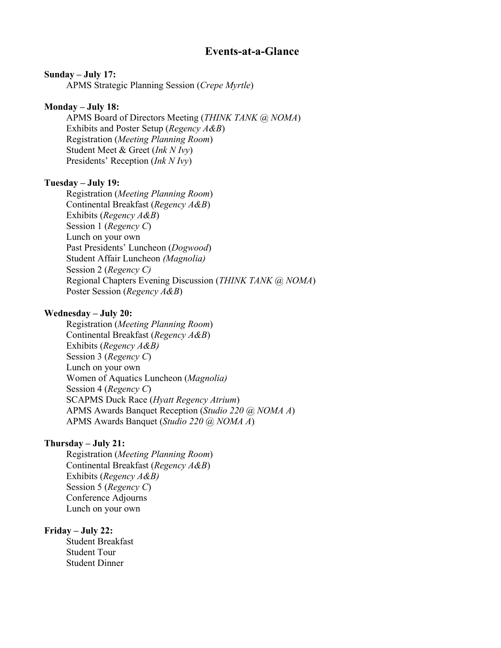# **Events-at-a-Glance**

### **Sunday – July 17:**

APMS Strategic Planning Session (*Crepe Myrtle*)

### **Monday – July 18:**

APMS Board of Directors Meeting (*THINK TANK @ NOMA*) Exhibits and Poster Setup (*Regency A&B*) Registration (*Meeting Planning Room*) Student Meet & Greet (*Ink N Ivy*) Presidents' Reception (*Ink N Ivy*)

### **Tuesday – July 19:**

Registration (*Meeting Planning Room*) Continental Breakfast (*Regency A&B*) Exhibits (*Regency A&B*) Session 1 (*Regency C*) Lunch on your own Past Presidents' Luncheon (*Dogwood*) Student Affair Luncheon *(Magnolia)* Session 2 (*Regency C)* Regional Chapters Evening Discussion (*THINK TANK @ NOMA*) Poster Session (*Regency A&B*)

### **Wednesday – July 20:**

Registration (*Meeting Planning Room*) Continental Breakfast (*Regency A&B*) Exhibits (*Regency A&B)* Session 3 (*Regency C*) Lunch on your own Women of Aquatics Luncheon (*Magnolia)* Session 4 (*Regency C*) SCAPMS Duck Race (*Hyatt Regency Atrium*) APMS Awards Banquet Reception (*Studio 220 @ NOMA A*) APMS Awards Banquet (*Studio 220 @ NOMA A*)

### **Thursday – July 21:**

Registration (*Meeting Planning Room*) Continental Breakfast (*Regency A&B*) Exhibits (*Regency A&B)* Session 5 (*Regency C*) Conference Adjourns Lunch on your own

### **Friday – July 22:**

Student Breakfast Student Tour Student Dinner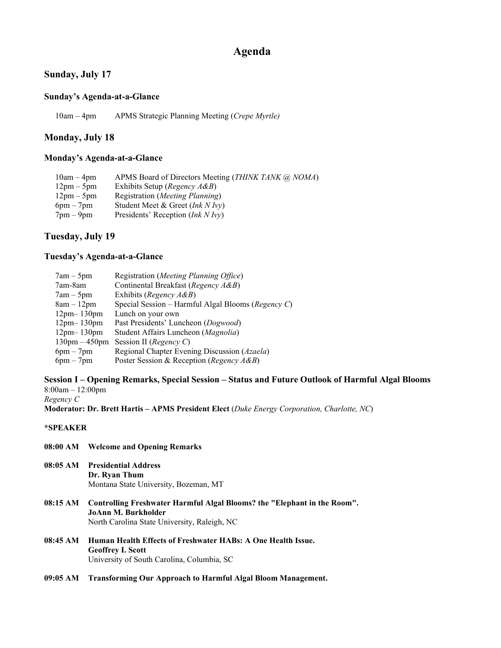# **Agenda**

### **Sunday, July 17**

#### **Sunday's Agenda-at-a-Glance**

10am – 4pm APMS Strategic Planning Meeting (*Crepe Myrtle)*

### **Monday, July 18**

#### **Monday's Agenda-at-a-Glance**

| $10am - 4pm$                 | APMS Board of Directors Meeting (THINK TANK @, NOMA) |
|------------------------------|------------------------------------------------------|
| $12 \text{pm} - 5 \text{pm}$ | Exhibits Setup (Regency A&B)                         |
| $12 \text{pm} - 5 \text{pm}$ | Registration ( <i>Meeting Planning</i> )             |
| $6pm - 7pm$                  | Student Meet & Greet (Ink N Ivv)                     |
| $7 \text{pm} - 9 \text{pm}$  | Presidents' Reception $(Int N Iv)$                   |

### **Tuesday, July 19**

#### **Tuesday's Agenda-at-a-Glance**

| $7am - 5pm$                     | Registration (Meeting Planning Office)             |
|---------------------------------|----------------------------------------------------|
| 7am-8am                         | Continental Breakfast (Regency A&B)                |
| $7am - 5pm$                     | Exhibits ( <i>Regency <math>A\&amp;B</math></i> )  |
| $8am - 12pm$                    | Special Session - Harmful Algal Blooms (Regency C) |
| $12pm-130pm$                    | Lunch on your own                                  |
| $12pm-130pm$                    | Past Presidents' Luncheon (Dogwood)                |
| $12pm-130pm$                    | Student Affairs Luncheon (Magnolia)                |
| $130 \text{pm} - 450 \text{pm}$ | Session II (Regency C)                             |
| $6pm-7pm$                       | Regional Chapter Evening Discussion (Azaela)       |
| $6pm - 7pm$                     | Poster Session & Reception (Regency $A\&B$ )       |

**Session I – Opening Remarks, Special Session – Status and Future Outlook of Harmful Algal Blooms** 8:00am – 12:00pm

*Regency C*

**Moderator: Dr. Brett Hartis – APMS President Elect** (*Duke Energy Corporation, Charlotte, NC*)

### **\*SPEAKER**

- **08:00 AM Welcome and Opening Remarks**
- **08:05 AM Presidential Address Dr. Ryan Thum** Montana State University, Bozeman, MT
- **08:15 AM Controlling Freshwater Harmful Algal Blooms? the "Elephant in the Room". JoAnn M. Burkholder** North Carolina State University, Raleigh, NC
- **08:45 AM Human Health Effects of Freshwater HABs: A One Health Issue. Geoffrey I. Scott** University of South Carolina, Columbia, SC
- **09:05 AM Transforming Our Approach to Harmful Algal Bloom Management.**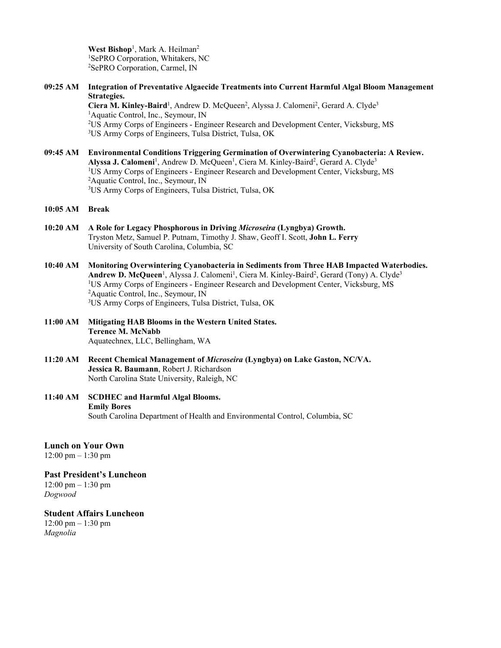West Bishop<sup>1</sup>, Mark A. Heilman<sup>2</sup> 1 SePRO Corporation, Whitakers, NC 2 SePRO Corporation, Carmel, IN

**09:25 AM Integration of Preventative Algaecide Treatments into Current Harmful Algal Bloom Management Strategies.** 

> Ciera M. Kinley-Baird<sup>1</sup>, Andrew D. McQueen<sup>2</sup>, Alyssa J. Calomeni<sup>2</sup>, Gerard A. Clyde<sup>3</sup> <sup>1</sup>Aquatic Control, Inc., Seymour, IN <sup>2</sup>US Army Corps of Engineers - Engineer Research and Development Center, Vicksburg, MS<br><sup>3</sup>US Army Corps of Engineers, Tulsa District, Tulsa, OK US Army Corps of Engineers, Tulsa District, Tulsa, OK

**09:45 AM Environmental Conditions Triggering Germination of Overwintering Cyanobacteria: A Review.**  Alyssa J. Calomeni<sup>1</sup>, Andrew D. McQueen<sup>1</sup>, Ciera M. Kinley-Baird<sup>2</sup>, Gerard A. Clyde<sup>3</sup> <sup>1</sup>US Army Corps of Engineers - Engineer Research and Development Center, Vicksburg, MS<br><sup>2</sup>Aquatic Control Inc. Seymour IN <sup>2</sup>Aquatic Control, Inc., Seymour, IN 3 US Army Corps of Engineers, Tulsa District, Tulsa, OK

#### **10:05 AM Break**

- **10:20 AM A Role for Legacy Phosphorous in Driving** *Microseira* **(Lyngbya) Growth.**  Tryston Metz, Samuel P. Putnam, Timothy J. Shaw, Geoff I. Scott, **John L. Ferry** University of South Carolina, Columbia, SC
- **10:40 AM Monitoring Overwintering Cyanobacteria in Sediments from Three HAB Impacted Waterbodies.**  Andrew D. McQueen<sup>1</sup>, Alyssa J. Calomeni<sup>1</sup>, Ciera M. Kinley-Baird<sup>2</sup>, Gerard (Tony) A. Clyde<sup>3</sup> <sup>1</sup>US Army Corps of Engineers - Engineer Research and Development Center, Vicksburg, MS<br><sup>2</sup>Aquatic Control Inc. Seymour IN <sup>2</sup>Aquatic Control, Inc., Seymour, IN 3 US Army Corps of Engineers, Tulsa District, Tulsa, OK

#### **11:00 AM Mitigating HAB Blooms in the Western United States. Terence M. McNabb** Aquatechnex, LLC, Bellingham, WA

- **11:20 AM Recent Chemical Management of** *Microseira* **(Lyngbya) on Lake Gaston, NC/VA. Jessica R. Baumann**, Robert J. Richardson North Carolina State University, Raleigh, NC
- **11:40 AM SCDHEC and Harmful Algal Blooms. Emily Bores** South Carolina Department of Health and Environmental Control, Columbia, SC

### **Lunch on Your Own**

12:00 pm – 1:30 pm

#### **Past President's Luncheon**

12:00 pm – 1:30 pm *Dogwood*

### **Student Affairs Luncheon**

12:00 pm – 1:30 pm *Magnolia*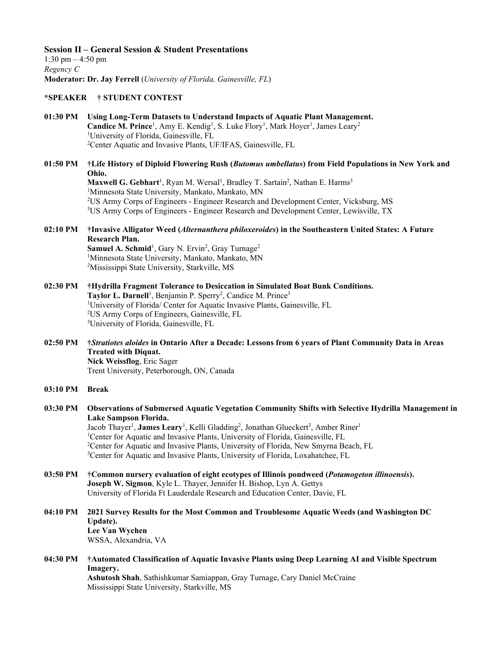#### **Session II – General Session & Student Presentations**

1:30 pm – 4:50 pm *Regency C* **Moderator: Dr. Jay Ferrell** (*University of Florida, Gainesville, FL*)

#### **\*SPEAKER † STUDENT CONTEST**

- **01:30 PM Using Long-Term Datasets to Understand Impacts of Aquatic Plant Management.**  Candice M. Prince<sup>1</sup>, Amy E. Kendig<sup>1</sup>, S. Luke Flory<sup>1</sup>, Mark Hoyer<sup>1</sup>, James Leary<sup>2</sup> <sup>1</sup>University of Florida, Gainesville, FL 2 Center Aquatic and Invasive Plants, UF/IFAS, Gainesville, FL
- **01:50 PM †Life History of Diploid Flowering Rush (***Butomus umbellatus***) from Field Populations in New York and Ohio. Maxwell G. Gebhart**<sup>1</sup>, Ryan M. Wersal<sup>1</sup>, Bradley T. Sartain<sup>2</sup>, Nathan E. Harms<sup>3</sup> <sup>1</sup>Minnesota State University, Mankato, Mankato, MN 2 US Army Corps of Engineers - Engineer Research and Development Center, Vicksburg, MS <sup>3</sup>US Army Corps of Engineers - Engineer Research and Development Center, Lewisville, TX
- **02:10 PM †Invasive Alligator Weed (***Alternanthera philoxeroides***) in the Southeastern United States: A Future Research Plan.**

**Samuel A. Schmid**<sup>1</sup>, Gary N. Ervin<sup>2</sup>, Gray Turnage<sup>2</sup> <sup>1</sup>Minnesota State University, Mankato, Mankato, MN 2 Mississippi State University, Starkville, MS

- **02:30 PM †Hydrilla Fragment Tolerance to Desiccation in Simulated Boat Bunk Conditions.**  Taylor L. Darnell<sup>1</sup>, Benjamin P. Sperry<sup>2</sup>, Candice M. Prince<sup>3</sup> <sup>1</sup>University of Florida/ Center for Aquatic Invasive Plants, Gainesville, FL 2 US Army Corps of Engineers, Gainesville, FL 3 University of Florida, Gainesville, FL
- **02:50 PM †***Stratiotes aloides* **in Ontario After a Decade: Lessons from 6 years of Plant Community Data in Areas Treated with Diquat. Nick Weissflog**, Eric Sager Trent University, Peterborough, ON, Canada
- **03:10 PM Break**
- **03:30 PM Observations of Submersed Aquatic Vegetation Community Shifts with Selective Hydrilla Management in Lake Sampson Florida.**  Jacob Thayer<sup>1</sup>, **James Leary**<sup>1</sup>, Kelli Gladding<sup>2</sup>, Jonathan Glueckert<sup>3</sup>, Amber Riner<sup>1</sup> <sup>1</sup>Center for Aquatic and Invasive Plants, University of Florida, Gainesville, FL
	- <sup>2</sup> Center for Aquatic and Invasive Plants, University of Florida, New Smyrna Beach, FL<br><sup>3</sup>Center for Aquatic and Invasive Plants, University of Florida, Lovabatchee, FL

<sup>3</sup>Center for Aquatic and Invasive Plants, University of Florida, Loxahatchee, FL

- **03:50 PM †Common nursery evaluation of eight ecotypes of Illinois pondweed (***Potamogeton illinoensis***). Joseph W. Sigmon**, Kyle L. Thayer, Jennifer H. Bishop, Lyn A. Gettys University of Florida Ft Lauderdale Research and Education Center, Davie, FL
- **04:10 PM 2021 Survey Results for the Most Common and Troublesome Aquatic Weeds (and Washington DC Update). Lee Van Wychen** WSSA, Alexandria, VA
- **04:30 PM †Automated Classification of Aquatic Invasive Plants using Deep Learning AI and Visible Spectrum Imagery. Ashutosh Shah**, Sathishkumar Samiappan, Gray Turnage, Cary Daniel McCraine

Mississippi State University, Starkville, MS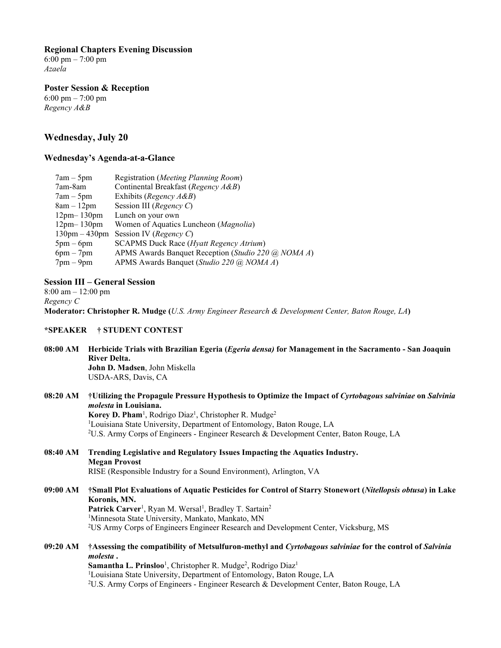#### **Regional Chapters Evening Discussion**

6:00 pm – 7:00 pm *Azaela*

**Poster Session & Reception**

6:00 pm – 7:00 pm *Regency A&B*

# **Wednesday, July 20**

### **Wednesday's Agenda-at-a-Glance**

| $7am - 5pm$                 | Registration ( <i>Meeting Planning Room</i> )       |
|-----------------------------|-----------------------------------------------------|
| 7am-8am                     | Continental Breakfast (Regency A&B)                 |
| $7am - 5pm$                 | Exhibits ( <i>Regency <math>A\&amp;B</math></i> )   |
| $8am - 12pm$                | Session III (Regency $C$ )                          |
| $12pm-130pm$                | Lunch on your own                                   |
| $12pm-130pm$                | Women of Aquatics Luncheon (Magnolia)               |
| $130$ pm $-430$ pm          | Session IV (Regency C)                              |
| $5pm-6pm$                   | <b>SCAPMS Duck Race (Hyatt Regency Atrium)</b>      |
| $6pm - 7pm$                 | APMS Awards Banquet Reception (Studio 220 @ NOMA A) |
| $7 \text{pm} - 9 \text{pm}$ | APMS Awards Banquet (Studio 220 @ NOMA A)           |

#### **Session III – General Session**

8:00 am – 12:00 pm *Regency C*

**Moderator: Christopher R. Mudge (***U.S. Army Engineer Research & Development Center, Baton Rouge, LA***)**

### **\*SPEAKER † STUDENT CONTEST**

**08:00 AM Herbicide Trials with Brazilian Egeria (***Egeria densa)* **for Management in the Sacramento - San Joaquin River Delta. John D. Madsen**, John Miskella USDA-ARS, Davis, CA **08:20 AM †Utilizing the Propagule Pressure Hypothesis to Optimize the Impact of** *Cyrtobagous salviniae* **on** *Salvinia molesta* **in Louisiana.** 

Korey D. Pham<sup>1</sup>, Rodrigo Diaz<sup>1</sup>, Christopher R. Mudge<sup>2</sup> <sup>1</sup>Louisiana State University, Department of Entomology, Baton Rouge, LA 2 U.S. Army Corps of Engineers - Engineer Research & Development Center, Baton Rouge, LA

- **08:40 AM Trending Legislative and Regulatory Issues Impacting the Aquatics Industry. Megan Provost** RISE (Responsible Industry for a Sound Environment), Arlington, VA
- **09:00 AM †Small Plot Evaluations of Aquatic Pesticides for Control of Starry Stonewort (***Nitellopsis obtusa***) in Lake Koronis, MN.**  Patrick Carver<sup>1</sup>, Ryan M. Wersal<sup>1</sup>, Bradley T. Sartain<sup>2</sup> <sup>1</sup>Minnesota State University, Mankato, Mankato, MN 2 US Army Corps of Engineers Engineer Research and Development Center, Vicksburg, MS

# **09:20 AM †Assessing the compatibility of Metsulfuron-methyl and** *Cyrtobagous salviniae* **for the control of** *Salvinia molesta* **.**

Samantha L. Prinsloo<sup>1</sup>, Christopher R. Mudge<sup>2</sup>, Rodrigo Diaz<sup>1</sup> <sup>1</sup>Louisiana State University, Department of Entomology, Baton Rouge, LA 2 U.S. Army Corps of Engineers - Engineer Research & Development Center, Baton Rouge, LA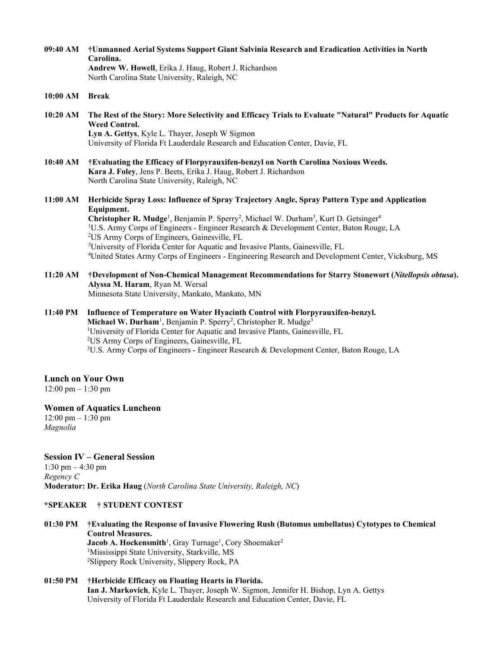| 09:40 AM | †Unmanned Aerial Systems Support Giant Salvinia Research and Eradication Activities in North |
|----------|----------------------------------------------------------------------------------------------|
|          | Carolina.                                                                                    |
|          | Andrew W. Howell, Erika J. Haug, Robert J. Richardson                                        |
|          | North Carolina State University, Raleigh, NC                                                 |
|          |                                                                                              |

#### **10:00 AM Break**

**10:20 AM The Rest of the Story: More Selectivity and Efficacy Trials to Evaluate "Natural" Products for Aquatic Weed Control. Lyn A. Gettys**, Kyle L. Thayer, Joseph W Sigmon University of Florida Ft Lauderdale Research and Education Center, Davie, FL

- **10:40 AM †Evaluating the Efficacy of Florpyrauxifen-benzyl on North Carolina Noxious Weeds. Kara J. Foley**, Jens P. Beets, Erika J. Haug, Robert J. Richardson North Carolina State University, Raleigh, NC
- **11:00 AM Herbicide Spray Loss: Influence of Spray Trajectory Angle, Spray Pattern Type and Application Equipment.**

Christopher R. Mudge<sup>1</sup>, Benjamin P. Sperry<sup>2</sup>, Michael W. Durham<sup>3</sup>, Kurt D. Getsinger<sup>4</sup> <sup>1</sup>U.S. Army Corps of Engineers - Engineer Research & Development Center, Baton Rouge, LA 2 US Army Corps of Engineers, Gainesville, FL <sup>3</sup>University of Florida Center for Aquatic and Invasive Plants, Gainesville, FL <sup>4</sup>United States Army Corps of Engineers - Engineering Research and Development Center, Vicksburg, MS

**11:20 AM †Development of Non-Chemical Management Recommendations for Starry Stonewort (***Nitellopsis obtusa***). Alyssa M. Haram**, Ryan M. Wersal Minnesota State University, Mankato, Mankato, MN

### **11:40 PM Influence of Temperature on Water Hyacinth Control with Florpyrauxifen-benzyl.**  Michael W. Durham<sup>1</sup>, Benjamin P. Sperry<sup>2</sup>, Christopher R. Mudge<sup>3</sup> <sup>1</sup>University of Florida Center for Aquatic and Invasive Plants, Gainesville, FL 2 US Army Corps of Engineers, Gainesville, FL <sup>3</sup>U.S. Army Corps of Engineers - Engineer Research & Development Center, Baton Rouge, LA

### **Lunch on Your Own**

 $12:00 \text{ pm} - 1:30 \text{ pm}$ 

# **Women of Aquatics Luncheon**

 $12:00 \text{ pm} - 1:30 \text{ pm}$ *Magnolia*

### **Session IV – General Session**

1:30 pm – 4:30 pm *Regency C* **Moderator: Dr. Erika Haug** (*North Carolina State University, Raleigh, NC*)

#### **\*SPEAKER † STUDENT CONTEST**

#### **01:30 PM †Evaluating the Response of Invasive Flowering Rush (Butomus umbellatus) Cytotypes to Chemical Control Measures. Jacob A. Hockensmith**<sup>1</sup>, Gray Turnage<sup>1</sup>, Cory Shoemaker<sup>2</sup> <sup>1</sup>Mississippi State University, Starkville, MS 2 Slippery Rock University, Slippery Rock, PA

#### **01:50 PM †Herbicide Efficacy on Floating Hearts in Florida. Ian J. Markovich**, Kyle L. Thayer, Joseph W. Sigmon, Jennifer H. Bishop, Lyn A. Gettys University of Florida Ft Lauderdale Research and Education Center, Davie, FL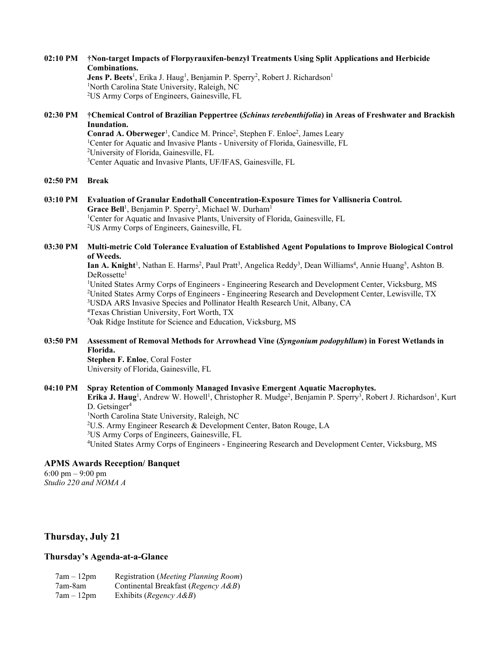### **02:10 PM †Non-target Impacts of Florpyrauxifen-benzyl Treatments Using Split Applications and Herbicide Combinations.**

**Jens P. Beets**<sup>1</sup>, Erika J. Haug<sup>1</sup>, Benjamin P. Sperry<sup>2</sup>, Robert J. Richardson<sup>1</sup> <sup>1</sup>North Carolina State University, Raleigh, NC 2 US Army Corps of Engineers, Gainesville, FL

### **02:30 PM †Chemical Control of Brazilian Peppertree (***Schinus terebenthifolia***) in Areas of Freshwater and Brackish Inundation.**

Conrad A. Oberweger<sup>1</sup>, Candice M. Prince<sup>2</sup>, Stephen F. Enloe<sup>2</sup>, James Leary <sup>1</sup>Center for Aquatic and Invasive Plants - University of Florida, Gainesville, FL 2 University of Florida, Gainesville, FL <sup>3</sup>Center Aquatic and Invasive Plants, UF/IFAS, Gainesville, FL

#### **02:50 PM Break**

- **03:10 PM Evaluation of Granular Endothall Concentration-Exposure Times for Vallisneria Control.**  Grace Bell<sup>1</sup>, Benjamin P. Sperry<sup>2</sup>, Michael W. Durham<sup>1</sup> <sup>1</sup>Center for Aquatic and Invasive Plants, University of Florida, Gainesville, FL 2 US Army Corps of Engineers, Gainesville, FL
- **03:30 PM Multi-metric Cold Tolerance Evaluation of Established Agent Populations to Improve Biological Control of Weeds.**

Ian A. Knight<sup>1</sup>, Nathan E. Harms<sup>2</sup>, Paul Pratt<sup>3</sup>, Angelica Reddy<sup>3</sup>, Dean Williams<sup>4</sup>, Annie Huang<sup>5</sup>, Ashton B. DeRossette<sup>1</sup>

<sup>1</sup>United States Army Corps of Engineers - Engineering Research and Development Center, Vicksburg, MS 2 United States Army Corps of Engineers - Engineering Research and Development Center, Lewisville, TX <sup>3</sup>USDA ARS Invasive Species and Pollinator Health Research Unit, Albany, CA 4 Texas Christian University, Fort Worth, TX 5 Oak Ridge Institute for Science and Education, Vicksburg, MS

**03:50 PM Assessment of Removal Methods for Arrowhead Vine (***Syngonium podopyhllum***) in Forest Wetlands in Florida.** 

**Stephen F. Enloe**, Coral Foster University of Florida, Gainesville, FL

#### **04:10 PM Spray Retention of Commonly Managed Invasive Emergent Aquatic Macrophytes.**

Erika J. Haug<sup>1</sup>, Andrew W. Howell<sup>1</sup>, Christopher R. Mudge<sup>2</sup>, Benjamin P. Sperry<sup>3</sup>, Robert J. Richardson<sup>1</sup>, Kurt D. Getsinger<sup>4</sup>

<sup>1</sup>North Carolina State University, Raleigh, NC

<sup>2</sup>U.S. Army Engineer Research & Development Center, Baton Rouge, LA

3 US Army Corps of Engineers, Gainesville, FL

4 United States Army Corps of Engineers - Engineering Research and Development Center, Vicksburg, MS

### **APMS Awards Reception/ Banquet**

6:00 pm – 9:00 pm *Studio 220 and NOMA A*

## **Thursday, July 21**

#### **Thursday's Agenda-at-a-Glance**

7am – 12pm Registration (*Meeting Planning Room*) 7am-8am Continental Breakfast (*Regency A&B*) Exhibits (*Regency A&B*)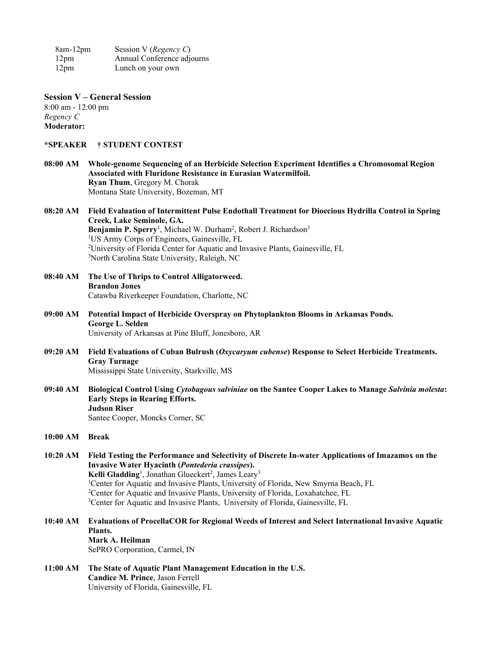| $8am-12pm$       | Session V (Regency C)      |
|------------------|----------------------------|
| 12 <sub>pm</sub> | Annual Conference adjourns |
| 12 <sub>pm</sub> | Lunch on your own          |

#### **Session V – General Session**

8:00 am - 12:00 pm *Regency C* **Moderator:** 

#### **\*SPEAKER † STUDENT CONTEST**

- **08:00 AM Whole-genome Sequencing of an Herbicide Selection Experiment Identifies a Chromosomal Region Associated with Fluridone Resistance in Eurasian Watermilfoil. Ryan Thum**, Gregory M. Chorak Montana State University, Bozeman, MT
- **08:20 AM Field Evaluation of Intermittent Pulse Endothall Treatment for Dioecious Hydrilla Control in Spring Creek, Lake Seminole, GA.**  Benjamin P. Sperry<sup>1</sup>, Michael W. Durham<sup>2</sup>, Robert J. Richardson<sup>3</sup> 1 US Army Corps of Engineers, Gainesville, FL <sup>2</sup>University of Florida Center for Aquatic and Invasive Plants, Gainesville, FL 3 North Carolina State University, Raleigh, NC
- **08:40 AM The Use of Thrips to Control Alligatorweed. Brandon Jones** Catawba Riverkeeper Foundation, Charlotte, NC
- **09:00 AM Potential Impact of Herbicide Overspray on Phytoplankton Blooms in Arkansas Ponds. George L. Selden** University of Arkansas at Pine Bluff, Jonesboro, AR
- **09:20 AM Field Evaluations of Cuban Bulrush (***Oxycaryum cubense***) Response to Select Herbicide Treatments. Gray Turnage**
	- Mississippi State University, Starkville, MS
- **09:40 AM Biological Control Using** *Cytobagous salviniae* **on the Santee Cooper Lakes to Manage** *Salvinia molesta***: Early Steps in Rearing Efforts. Judson Riser** Santee Cooper, Moncks Corner, SC

#### **10:00 AM Break**

- **10:20 AM Field Testing the Performance and Selectivity of Discrete In-water Applications of Imazamox on the Invasive Water Hyacinth (***Pontederia crassipes***).**  Kelli Gladding<sup>1</sup>, Jonathan Glueckert<sup>2</sup>, James Leary<sup>3</sup> <sup>1</sup>Center for Aquatic and Invasive Plants, University of Florida, New Smyrna Beach, FL <sup>2</sup>Center for Aquatic and Invasive Plants, University of Florida, Loxahatchee, FL <sup>3</sup>Center for Aquatic and Invasive Plants, University of Florida, Gainesville, FL
- **10:40 AM Evaluations of ProcellaCOR for Regional Weeds of Interest and Select International Invasive Aquatic Plants. Mark A. Heilman** SePRO Corporation, Carmel, IN
- **11:00 AM The State of Aquatic Plant Management Education in the U.S. Candice M. Prince**, Jason Ferrell University of Florida, Gainesville, FL